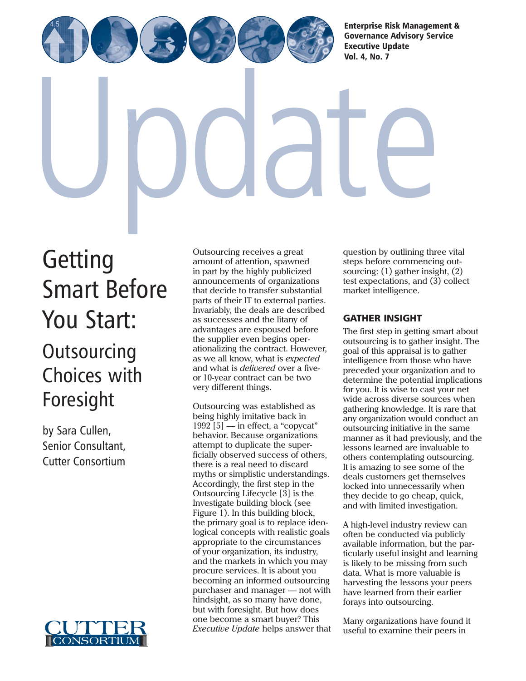[Enterprise Risk Management &](http://www.cutter.com) Governance Advisory Service Executive Update

Vol. 4, No. 7

# **Getting** [Smart Before](http://www.cutter.com) You Start: **Outsourcing** Choices with Foresight

by Sara Cullen, Senior Consultant, Cutter Consortium



Outsourcing receives a great amount of attention, spawned in part by the highly publicized announcements of organizations that decide to transfer substantial parts of their IT to external parties. Invariably, the deals are described as successes and the litany of advantages are espoused before the supplier even begins operationalizing the contract. However, as we all know, what is *expected* and what is *delivered* over a fiveor 10-year contract can be two very different things.

Outsourcing was established as being highly imitative back in 1992 [5] — in effect, a "copycat" behavior. Because organizations attempt to duplicate the superficially observed success of others, there is a real need to discard myths or simplistic understandings. Accordingly, the first step in the Outsourcing Lifecycle [3] is the Investigate building block (see Figure 1). In this building block, the primary goal is to replace ideological concepts with realistic goals appropriate to the circumstances of your organization, its industry, and the markets in which you may procure services. It is about you becoming an informed outsourcing purchaser and manager — not with hindsight, as so many have done, but with foresight. But how does one become a smart buyer? This *Executive Update* helps answer that question by outlining three vital steps before commencing outsourcing: (1) gather insight, (2) test expectations, and (3) collect market intelligence.

## GATHER INSIGHT

The first step in getting smart about outsourcing is to gather insight. The goal of this appraisal is to gather intelligence from those who have preceded your organization and to determine the potential implications for you. It is wise to cast your net wide across diverse sources when gathering knowledge. It is rare that any organization would conduct an outsourcing initiative in the same manner as it had previously, and the lessons learned are invaluable to others contemplating outsourcing. It is amazing to see some of the deals customers get themselves locked into unnecessarily when they decide to go cheap, quick, and with limited investigation.

A high-level industry review can often be conducted via publicly available information, but the particularly useful insight and learning is likely to be missing from such data. What is more valuable is harvesting the lessons your peers have learned from their earlier forays into outsourcing.

Many organizations have found it useful to examine their peers in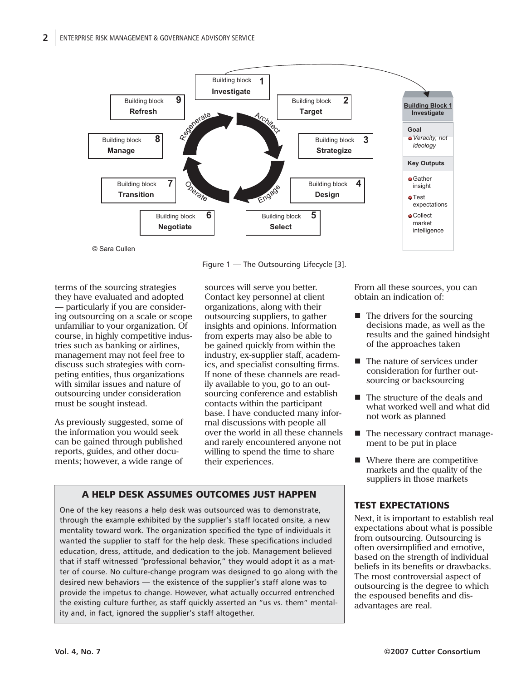

Figure 1 — The Outsourcing Lifecycle [3].

terms of the sourcing strategies they have evaluated and adopted — particularly if you are considering outsourcing on a scale or scope unfamiliar to your organization. Of course, in highly competitive industries such as banking or airlines, management may not feel free to discuss such strategies with competing entities, thus organizations with similar issues and nature of outsourcing under consideration must be sought instead.

As previously suggested, some of the information you would seek can be gained through published reports, guides, and other documents; however, a wide range of

sources will serve you better. Contact key personnel at client organizations, along with their outsourcing suppliers, to gather insights and opinions. Information from experts may also be able to be gained quickly from within the industry, ex-supplier staff, academics, and specialist consulting firms. If none of these channels are readily available to you, go to an outsourcing conference and establish contacts within the participant base. I have conducted many informal discussions with people all over the world in all these channels and rarely encountered anyone not willing to spend the time to share their experiences.

# A HELP DESK ASSUMES OUTCOMES JUST HAPPEN

One of the key reasons a help desk was outsourced was to demonstrate, through the example exhibited by the supplier's staff located onsite, a new mentality toward work. The organization specified the type of individuals it wanted the supplier to staff for the help desk. These specifications included education, dress, attitude, and dedication to the job. Management believed that if staff witnessed "professional behavior," they would adopt it as a matter of course. No culture-change program was designed to go along with the desired new behaviors — the existence of the supplier's staff alone was to provide the impetus to change. However, what actually occurred entrenched the existing culture further, as staff quickly asserted an "us vs. them" mentality and, in fact, ignored the supplier's staff altogether.

From all these sources, you can obtain an indication of:

- $\blacksquare$  The drivers for the sourcing decisions made, as well as the results and the gained hindsight of the approaches taken
- The nature of services under consideration for further outsourcing or backsourcing
- The structure of the deals and what worked well and what did not work as planned
- The necessary contract management to be put in place
- Where there are competitive markets and the quality of the suppliers in those markets

# TEST EXPECTATIONS

Next, it is important to establish real expectations about what is possible from outsourcing. Outsourcing is often oversimplified and emotive, based on the strength of individual beliefs in its benefits or drawbacks. The most controversial aspect of outsourcing is the degree to which the espoused benefits and disadvantages are real.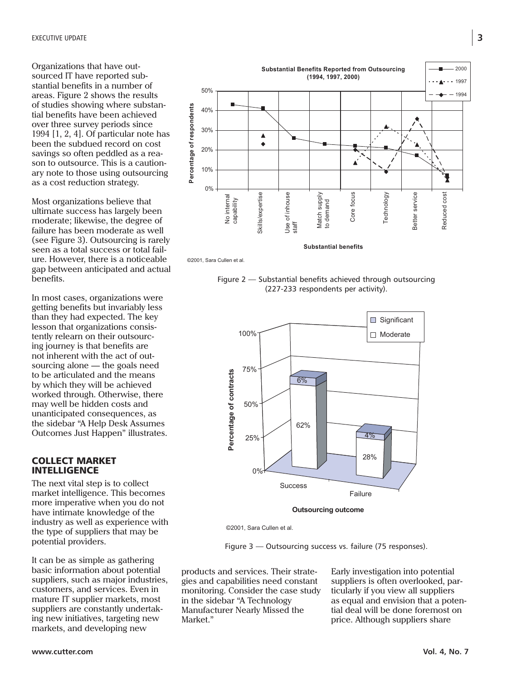Organizations that have outsourced IT have reported substantial benefits in a number of areas. Figure 2 shows the results of studies showing where substantial benefits have been achieved over three survey periods since 1994 [1, 2, 4]. Of particular note has been the subdued record on cost savings so often peddled as a reason to outsource. This is a cautionary note to those using outsourcing as a cost reduction strategy.

Most organizations believe that ultimate success has largely been moderate; likewise, the degree of failure has been moderate as well (see Figure 3). Outsourcing is rarely seen as a total success or total failure. However, there is a noticeable gap between anticipated and actual benefits.

In most cases, organizations were getting benefits but invariably less than they had expected. The key lesson that organizations consistently relearn on their outsourcing journey is that benefits are not inherent with the act of outsourcing alone — the goals need to be articulated and the means by which they will be achieved worked through. Otherwise, there may well be hidden costs and unanticipated consequences, as the sidebar "A Help Desk Assumes Outcomes Just Happen" illustrates.

#### COLLECT MARKET **INTELLIGENCE**

The next vital step is to collect market intelligence. This becomes more imperative when you do not have intimate knowledge of the industry as well as experience with the type of suppliers that may be potential providers.

It can be as simple as gathering basic information about potential suppliers, such as major industries, customers, and services. Even in mature IT supplier markets, most suppliers are constantly undertaking new initiatives, targeting new markets, and developing new



©2001, Sara Cullen et al.

Figure 2 — Substantial benefits achieved through outsourcing (227-233 respondents per activity).



©2001, Sara Cullen et al.

Figure 3 — Outsourcing success vs. failure (75 responses).

products and services. Their strategies and capabilities need constant monitoring. Consider the case study in the sidebar "A Technology Manufacturer Nearly Missed the Market."

Early investigation into potential suppliers is often overlooked, particularly if you view all suppliers as equal and envision that a potential deal will be done foremost on price. Although suppliers share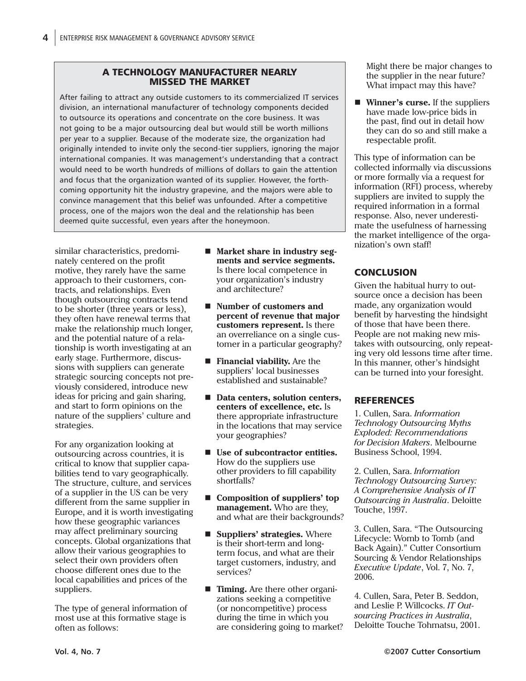#### A TECHNOLOGY MANUFACTURER NEARLY MISSED THE MARKET

After failing to attract any outside customers to its commercialized IT services division, an international manufacturer of technology components decided to outsource its operations and concentrate on the core business. It was not going to be a major outsourcing deal but would still be worth millions per year to a supplier. Because of the moderate size, the organization had originally intended to invite only the second-tier suppliers, ignoring the major international companies. It was management's understanding that a contract would need to be worth hundreds of millions of dollars to gain the attention and focus that the organization wanted of its supplier. However, the forthcoming opportunity hit the industry grapevine, and the majors were able to convince management that this belief was unfounded. After a competitive process, one of the majors won the deal and the relationship has been deemed quite successful, even years after the honeymoon.

similar characteristics, predominately centered on the profit motive, they rarely have the same approach to their customers, contracts, and relationships. Even though outsourcing contracts tend to be shorter (three years or less), they often have renewal terms that make the relationship much longer, and the potential nature of a relationship is worth investigating at an early stage. Furthermore, discussions with suppliers can generate strategic sourcing concepts not previously considered, introduce new ideas for pricing and gain sharing, and start to form opinions on the nature of the suppliers' culture and strategies.

For any organization looking at outsourcing across countries, it is critical to know that supplier capabilities tend to vary geographically. The structure, culture, and services of a supplier in the US can be very different from the same supplier in Europe, and it is worth investigating how these geographic variances may affect preliminary sourcing concepts. Global organizations that allow their various geographies to select their own providers often choose different ones due to the local capabilities and prices of the suppliers.

The type of general information of most use at this formative stage is often as follows:

- Market share in industry seg**ments and service segments.** Is there local competence in your organization's industry and architecture?
- Number of customers and **percent of revenue that major customers represent.** Is there an overreliance on a single customer in a particular geography?
- **Financial viability.** Are the suppliers' local businesses established and sustainable?
- Data centers, solution centers, **centers of excellence, etc.** Is there appropriate infrastructure in the locations that may service your geographies?
- Use of subcontractor entities. How do the suppliers use other providers to fill capability shortfalls?
- Composition of suppliers' top **management.** Who are they, and what are their backgrounds?
- **Suppliers' strategies.** Where is their short-term and longterm focus, and what are their target customers, industry, and services?
- **Timing.** Are there other organizations seeking a competitive (or noncompetitive) process during the time in which you are considering going to market?

Might there be major changes to the supplier in the near future? What impact may this have?

■ **Winner's curse.** If the suppliers have made low-price bids in the past, find out in detail how they can do so and still make a respectable profit.

This type of information can be collected informally via discussions or more formally via a request for information (RFI) process, whereby suppliers are invited to supply the required information in a formal response. Also, never underestimate the usefulness of harnessing the market intelligence of the organization's own staff!

## **CONCLUSION**

Given the habitual hurry to outsource once a decision has been made, any organization would benefit by harvesting the hindsight of those that have been there. People are not making new mistakes with outsourcing, only repeating very old lessons time after time. In this manner, other's hindsight can be turned into your foresight.

## **REFERENCES**

1. Cullen, Sara. *Information Technology Outsourcing Myths Exploded: Recommendations for Decision Makers*. Melbourne Business School, 1994.

2. Cullen, Sara. *Information Technology Outsourcing Survey: A Comprehensive Analysis of IT Outsourcing in Australia*. Deloitte Touche, 1997.

3. Cullen, Sara. "The Outsourcing Lifecycle: Womb to Tomb (and Back Again)." Cutter Consortium Sourcing & Vendor Relationships *Executive Update*, Vol. 7, No. 7, 2006.

4. Cullen, Sara, Peter B. Seddon, and Leslie P. Willcocks. *IT Outsourcing Practices in Australia*, Deloitte Touche Tohmatsu, 2001.